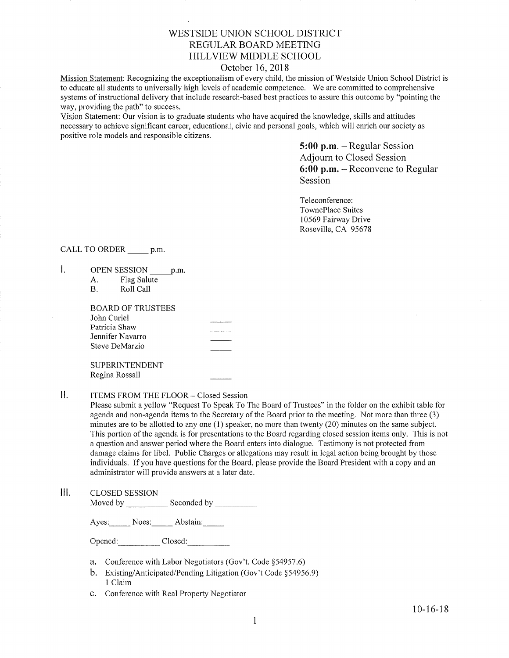## V/ESTSIDE UNION SCHOOL DISTRICT REGULAR BOARD MEETING HILLVIEW MIDDLE SCHOOL

### October 16,2018

Mission Statement: Recognizing the exceptionalism of every child, the mission of Westside Union School District is to educate all students to universally high levels of academic competence. We are committed to comprehensive systems of instructional delivery that include research-based best practices to assure this outcome by "pointing the way, providing the path" to success.

Vision Statement: Our vision is to graduate students who have acquired the knowledge, skills and attitudes necessary to achieve signifrcant career, educational, civic and personal goals, which will enrich our society as positive role models and responsible citizens.

> 5:00 p.m. - Regular Session Adjourn to Closed Session 6:00 p.m. - Reconvene to Regular Session

Teleconference: TownePlace Suites 10569 Fairway Drive Roseville, CA 95678

### CALL TO ORDER p.m.

- $\mathbf{I}$ . OPEN SESSION p.m.
	- A. Flag Salute<br>B. Roll Call

| BOARD OF TRUSTEES        |  |
|--------------------------|--|
|                          |  |
| John Curiel              |  |
| Patricia Shaw            |  |
| Jennifer Navarro         |  |
| Steve DeMarzio           |  |
|                          |  |
| o inne in igen in en ige |  |

SUPERINTENDENT Regina Rossall

### II. ITEMS FROM THE FLOOR - Closed Session

Please submit a yellow "Request To Speak To The Board of Trustees" in the folder on the exhibit table for agenda and non-agenda items to the Secretary of the Board prior to the meeting. Not more than three (3) minutes are to be allotted to any one (1) speaker, no more than twenty (20) minutes on the same subject. This portion of the agenda is for presentations to the Board regarding closed session items only. This is not a question and answer period where the Board enters into dialogue. Testimony is not protected from damage claims for libel. Public Charges or allegations may result in legal action being brought by those individuals. If you have questions for the Board, please provide the Board President with a copy and an administrator will provide answers at a later date.

lll. cLosED sESSroN Moved by Seconded by Seconded by Seconded by Seconded by Seconded by Seconded by Seconded by Seconded by Seconded by Seconded by Seconded by Seconded by Seconded by Seconded by Seconded by Seconded by Seconded by Seconded

Ayes: Noes: Abstain:

Opened: Closed:

- a. Conference with Labor Negotiators (Gov't. Code \$54957.6)
- b. Existing/Anticipated/Pending Litigation (Gov't Code §54956.9) 1 Claim
- c. Conference with Real Property Negotiator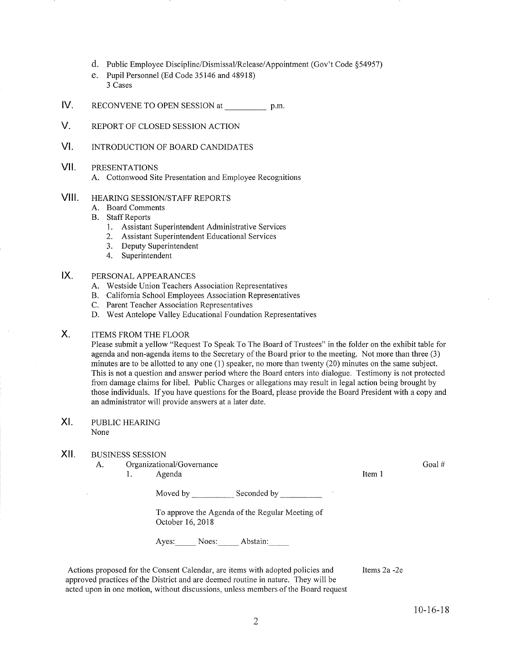- d. Public Employee Discipline/Dismissal/Release/Appointment (Gov't Code \$54957)
- e. Pupil Personnel (Ed Code 35746 and 48918) 3 Cases
- tv. RECONVENE TO OPEN SESSION at p.m.
- V. REPORT OF CLOSED SESSION ACTION
- vt. INTRODUCTION OF BOARD CANDIDATES
- vil. PRESENTATIONS
	- A. Cottonwood Site Presentation and Employee Recognitions
- VIII. HEARING SESSION/STAFF REPORTS
	- A. Board Comments
	- **B.** Staff Reports
		- 1. Assistant Superintendent Administrative Services<br>2. Assistant Superintendent Educational Services
		-
		- 3. Deputy Superintendent 4. Superintendent
		-

#### PERSONAL APPEARANCES  $IX.$

- A. Westside Union Teachers Association Representatives
- B. California School Employees Association Representatives
- C. Parent Teacher Association Representatives
- D. West Antelope Valley Educational Foundation Representatives

#### ITEMS FROM THE FLOOR  $X_{1}$

Please submit a yellow "Request To Speak To The Board of Trustees" in the folder on the exhibit table for agenda and non-agenda items to the Secretary of the Board prior to the meeting. Not more than three (3) minutes are to be allotted to any one (1) speaker, no more than twenty (20) minutes on the same subject. This is not a question and answer period where the Board enters into dialogue. Testimony is not protected from damage claims for libel. Public Charges or allegations may result in legal action being brought by those individuals. If you have questions for the Board, please provide the Board President with a copy and an administrator will provide answers at a later date.

#### PUBLIC HEARING None XI

### XII. BUSINESS SESSION

A. Organizational/Governance<br>1. Agenda

Moved by \_\_\_\_\_\_\_\_\_\_\_\_\_ Seconded by \_

To approve the Agenda of the Regular Meeting of October 16,2018

Ayes: Noes: Abstain:

Actions proposed for the Consent Calendar, are items with adopted policies and approved practices of the District and are deemed routine in nature. They will be acted upon in one motion, without discussions, unless members of the Board request Items 2a -2e Goal #

Item I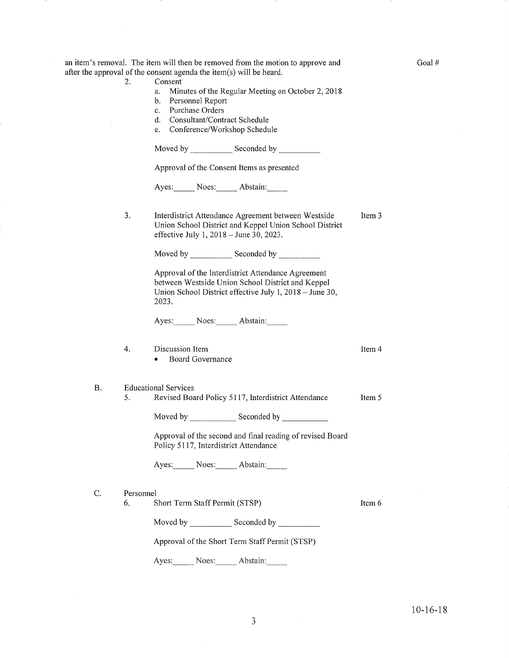|           |           | after the approval of the consent agenda the item(s) will be heard.                                                                                                         |          |
|-----------|-----------|-----------------------------------------------------------------------------------------------------------------------------------------------------------------------------|----------|
|           | 2.        | Consent<br>Minutes of the Regular Meeting on October 2, 2018<br>a.<br>Personnel Report<br>b.                                                                                |          |
|           |           | Purchase Orders<br>$c_{\cdot}$                                                                                                                                              |          |
|           |           | Consultant/Contract Schedule<br>d.                                                                                                                                          |          |
|           |           | Conference/Workshop Schedule<br>e.                                                                                                                                          |          |
|           |           |                                                                                                                                                                             |          |
|           |           | Approval of the Consent Items as presented                                                                                                                                  |          |
|           |           | Ayes: Noes: Abstain:                                                                                                                                                        |          |
|           | 3.        | Interdistrict Attendance Agreement between Westside<br>Union School District and Keppel Union School District<br>effective July 1, 2018 – June 30, 2023.                    | Item 3   |
|           |           |                                                                                                                                                                             |          |
|           |           | Approval of the Interdistrict Attendance Agreement<br>between Westside Union School District and Keppel<br>Union School District effective July 1, 2018 - June 30,<br>2023. |          |
|           |           | Ayes: Noes: Abstain:                                                                                                                                                        |          |
|           | 4.        | Discussion Item<br>Board Governance                                                                                                                                         | Item 4   |
| <b>B.</b> | 5.        | <b>Educational Services</b><br>Revised Board Policy 5117, Interdistrict Attendance                                                                                          | Item 5   |
|           |           |                                                                                                                                                                             |          |
|           |           | Moved by Seconded by Seconded by                                                                                                                                            |          |
|           |           | Approval of the second and final reading of revised Board<br>Policy 5117, Interdistrict Attendance                                                                          |          |
|           |           | Ayes: Noes: Abstain:                                                                                                                                                        |          |
| C.        | Personnel |                                                                                                                                                                             |          |
|           | 6.        | Short Term Staff Permit (STSP)                                                                                                                                              | Item $6$ |
|           |           |                                                                                                                                                                             |          |
|           |           | Approval of the Short Term Staff Permit (STSP)                                                                                                                              |          |
|           |           | Ayes: Noes: Abstain:                                                                                                                                                        |          |

a -)

an item's removal. The item will then be removed from the motion to approve and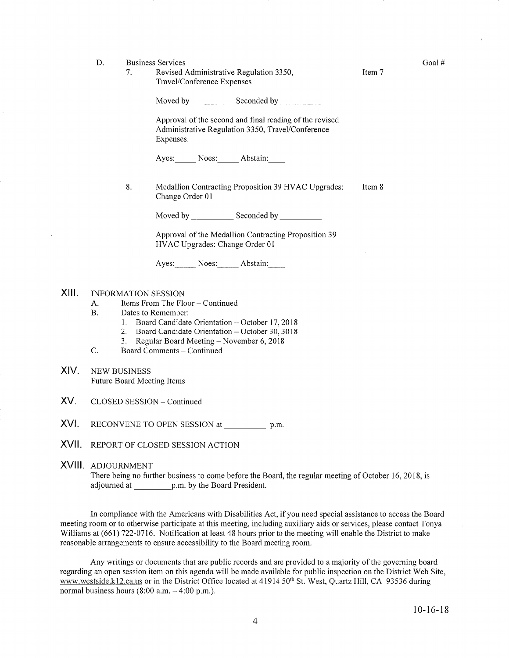D. Business Services

> 1. Revised Administrative Regulation 3350, Travel/Conference Expenses

> > Moved by Seconded by Seconded by Seconded by Seconded by Seconded by Seconded by Seconded by Seconded by Seconded by Seconded by Seconded by Seconded by Seconded by Seconded by Seconded by Seconded by Seconded by Seconded

Approval of the second and final reading of the revised Administrative Regulation 3350, Travel/Conference Expenses.

Ayes: Noes: Abstain:

8. Medallion Contracting Proposition 39 HVAC Upgrades: Item 8 Change Order 0l

Moved by Seconded by Seconded by Seconded by Seconded by Seconded by Seconded by Seconded by Seconded by Seconded by Seconded by Seconded by Seconded by Seconded by Seconded by Seconded by Seconded by Seconded by Seconded

Approval of the Medallion Contracting Proposition <sup>39</sup> HVAC Upgrades: Change Order <sup>01</sup>

Ayes: Noes: Abstain:

#### XIII. INFORMATION SESSION

- A. Items From The Floor Continued<br>B. Dates to Remember:
- 
- 1. Board Candidate Orientation October 17, 2018<br>
2. Board Candidate Orientation October 30, 3018<br>
3. Regular Board Meeting November 6, 2018<br>
C. Board Comments Continued
	-
	-
	-
- XIV. NEW BUSINESS Future Board Meeting Items
- XV. CLOSED SESSION - Continued
- XVI. RECONVENE TO OPEN SESSION at p.m.
- XVII. REPORT OF CLOSED SESSION ACTION
- XVIII ADJOURNMENT

There being no further business to come before the Board, the regular meeting of October 16, 2018, is adjourned at p.m. by the Board President.

In compliance with the Americans with Disabilities Act, if you need special assistance to access the Board meeting room or to otherwise participate at this meeting, including auxiliary aids or services, please contact Tonya Williams at (661) 722-0716. Notification at least 48 hours prior to the meeting will enable the District to make reasonable arrangements to ensure accessibility to the Board meeting room.

Any writings or documents that are public records and are provided to a majority of the governing board regarding an open session item on this agenda will be made available for public inspection on the District Web Site, www.westside.k12.ca.us or in the District Office located at 41914 50<sup>th</sup> St. West, Quartz Hill, CA 93536 during normal business hours  $(8:00 a.m. - 4:00 p.m.).$ 

Goal #

Item 7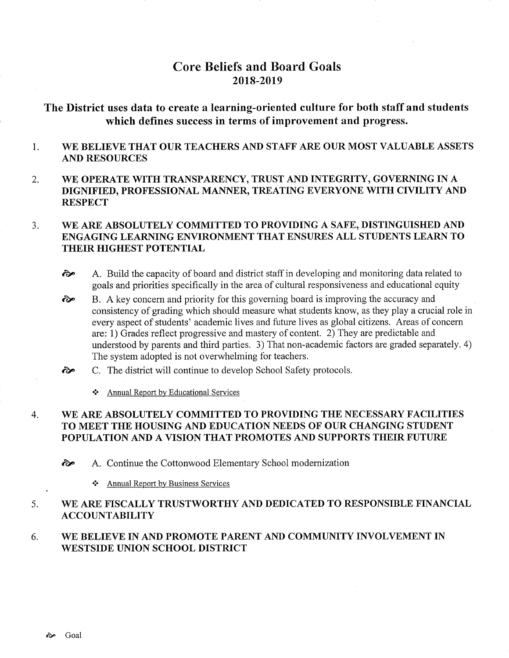# Core Beliefs and Board Goals 2018-2019

# The District uses data to create a learning-oriented culture for both staff and students which defines success in terms of improvement and progress.

#### 1 WE BELIEVE THAT OUR TEACHERS AND STAFF ARE OUR MOST VALUABLE ASSETS AND RESOURCES

2 WE OPERATE WITH TRANSPARENCY, TRUST AND INTEGRITY, GOVERNING IN A DIGNIFIED, PROFESSIONAL MANNER, TREATING EVERYONE WITH CIVILITY AND **RESPECT** 

#### WE ARE ABSOLUTELY COMMITTED TO PROVIDING A SAFE, DISTINGUISHED AND ENGAGING LEARNING ENVIRONMENT THAT ENSURES ALL STUDENTS LEARN TO THEIR HIGHEST POTENTIAL 3

- $\odot$  A. Build the capacity of board and district staff in developing and monitoring data related to goals and priorities specifically in the area of cultural responsiveness and educational equity
- B. A key concern and priority for this governing board is improving the accuracy and consistency of grading which should measure what students know, as they play a crucial role in every aspect of students' academic lives and future lives as global citizens. Areas of concern are: 1) Grades reflect progressive and mastery of content. 2) They are predictable and understood by parents and third parties. 3) That non-academic factors are graded separately. 4) The system adopted is not overwhelming for teachers. èp
- C. The district will continue to develop School Safety protocols. ôp
	- ❖ Annual Report by Educational Services

#### WE ARE ABSOLUTELY COMMITTED TO PROVIDING THE NECESSARY FACILITIES TO MEET THE HOUSING AND EDUCATION NEEDS OF OUR CHANGING STUDENT POPULATION AND A VISION THAT PROMOTES AND SUPPORTS THEIR FUTURE 4

èp A. Continue the Cottonwood Elementary School modernization

\* Annual Report by Business Services

#### WE ARE FISCALLY TRUSTWORTHY AND DEDICATED TO RESPONSIBLE FINANCIAL ACCOUNTABILITY 5

#### WE BELIEVE IN AND PROMOTE PARENT AND COMMUNITY INVOLVEMENT IN WESTSIDE UNION SCHOOL DISTRICT 6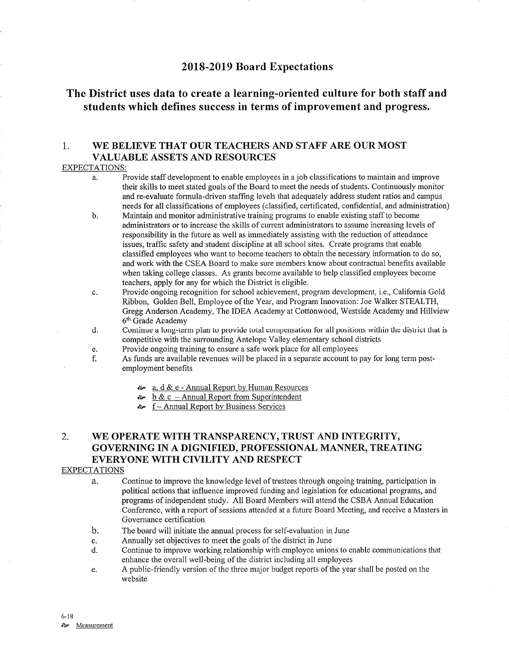### 2018-2019 Board Expectations

# The District uses data to create a learning-oriented culture for both staff and students which defines success in terms of improvement and progress.

### 1. WE BELIEVE THAT OUR TEACHERS AND STAFF ARE OUR MOST VALUABLE ASSETS AND RESOURCES

### EXPECTATIONS:

- a. Provide staff development to enable employees in a job classifications to maintain and improve their skills to meet stated goals of the Board to meet the needs of students. Continuously monitor and re-evaluate formula-driven staffing levels that adequately address student ratios and campus needs for all classifications of employees (classified, certificated, confidential, and administration)
- b. Maintain and monitor administrative training programs to enable existing staff to become administrators or to increase the skills of curent administrators to assume increasing levels of responsibilify in the future as well as immediately assisting with the reduction of attendance issues, traffic safety and student discipline at all school sites. Create programs that enable classified employees who want to become teachers to obtain the necessary information to do so, and work with the CSEA Board to make sure members know about contractual benefits available when taking college classes. As grants become available to help classified employees become teachers, apply for any for which the District is eligible.
- c. Provide ongoing recognition for school achievement, program development, i.e., Califomia Gold Ribbon, Golden Bell, Employee of the Year, and Program Innovation: Joe Walker STEALTH, Gregg Anderson Academy, The IDEA Academy at Cottonwood, Westside Academy and Hillview  $6<sup>th</sup>$  Grade Academy<br>d. Continue a long-term plan to provide total compensation for all positions within the district that is
- competitive with the surrounding Antelope Valley elementary school districts
- 
- e. Provide ongoing training to ensure a safe work place for all employees<br>f. As funds are available revenues will be placed in a separate account to pay for long term post-<br>employment benefits
	- $\approx$  a. d & e Annual Report by Human Resources
	- $\approx$  b & c Annual Report from Superintendent
	- $\sim$  f Annual Report by Business Services

## 2. WE OPERATE WITH TRANSPARENCY, TRUST AND INTEGRITY, GOVERNING IN A DIGNIFIED, PROFESSIONAL MANNER, TREATING EVERYONE WITH CIVILITY AND RESPECT

### EXPECTATIONS

- a. Continue to improve the knowledge level of trustees through ongoing training, participation in political actions that influence improved funding and legislation for educational programs, and programs of independent study. All Board Members will attend the CSBA Annual Education Conference, with a report of sessions attended at a future Board Meeting, and receive a Masters in Governance certification
- b. The board will initiate the annual process for self-evaluation in June
- c. Annually set objectives to meet the goals of the district in June
- d. Continue to improve working relationship with employee unions to enable communications that enhance the overall well-being of the district including all employees
- e. A public-friendly version of the three major budget reports of the year shall be posted on the website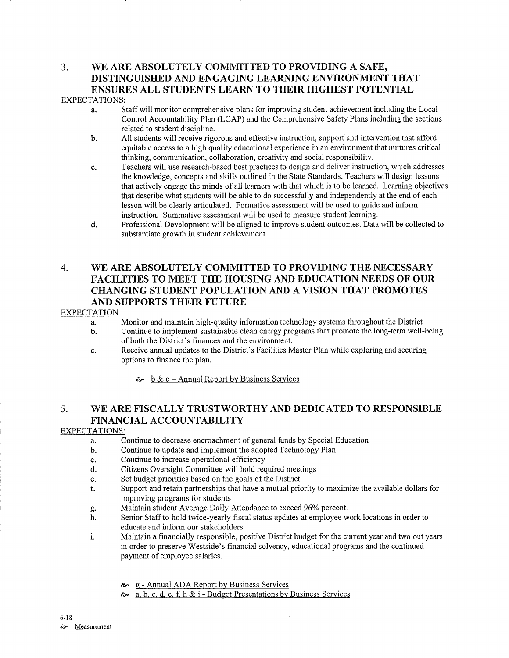### 3. WE ARE ABSOLUTELY COMMITTED TO PROVIDING A SAFE, DISTINGUISHED AND ENGAGING LEARNING ENVIRONMENT THAT ENSURES ALL STUDENTS LEARN TO THEIR HIGHEST POTENTIAL EXPECTATIONS:

- a. Staff will monitor comprehensive plans for improving student achievement including the Local Control Accountabilify Plan (LCAP) and the Comprehensive Safety Plans including the sections related to student discipline.
- b. All students will receive rigorous and effective instruction, support and intervention that afford equitable access to a high quality educational experience in an environment that nutures critical thinking, communication, collaboration, creativity and social responsibilify.
- c. Teachers will use research-based best practices to design and deliver instruction, which addresses the knowledge, concepts and skills outlined in the State Standards. Teachers will design lessons that actively engage the minds of all leamers with that which is to be learned. Learning objectives that describe what students will be able to do successfully and independently at the end of each Iesson will be clearly articulated. Formative assessment will be used to guide and inform instruction. Summative assessment will be used to measure student leaming.
- d. Professional Development will be aligned to improve student outcomes. Data will be collected to substantiate growth in student achievement.

## 4. WE ARE ABSOLUTELY COMMITTED TO PROVIDING THE NECESSARY FACILITIES TO MEET THE HOUSING AND EDUCATION NEEDS OF OUR CHANGING STUDENT POPULATION AND A VISION THAT PROMOTES AND SUPPORTS THEIR FUTURE

### EXPECTATION

- 
- a. Monitor and maintain high-quality information technology systems throughout the District b. Continue to implement sustainable clean energy programs that promote the long-term well-being of both the District's finances and the environment.
- c. Receive annual updates to the District's Facilities Master PIan while exploring and secwing options to finance the plan.
	- $\phi$  b & c Annual Report by Business Services

## 5. WE ARE FISCALLY TRUSTWORTHY AND DEDICATED TO RESPONSIBLE FINANCIAL ACCOUNTABILITY

### EXPECTATIONS:

- a. Continue to decrease encroachment of general funds by Special Education
- b. Continue to update and implement the adopted Technology Plan
- c. Continue to increase operational efficiency
- d. Citizens Oversight Committee will hold required meetings
- e. Set budget priorities based on the goals of the District
- f. Support and retain partnerships that have a mutual priority to maximize the available dollars for improving programs for students<br>Maintain student Average Daily Attendance to exceed 96% percent.
- 
- g. Maintain student Average Daily Attendance to exceed 96% percent.<br>h. Senior Staff to hold twice-yearly fiscal status updates at employee work locations in order to educate and inform our stakeholders
- i. Maintain a financially responsible, positive District budget for the current year and two out years in order to preserve Westside's financial solvency, educational programs and the continued payment of employee salaries.
	- èÊ <sup>g</sup> Annual ADA Report by Business Services
	- è. a, b, c. d. e. f, h & i Budqet Presentations by Business Services